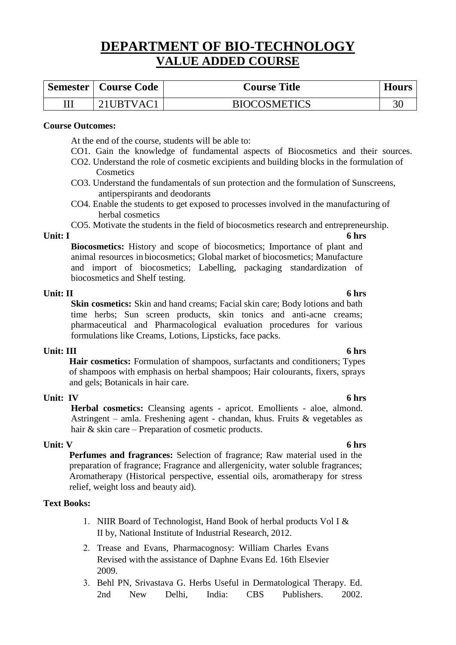# **DEPARTMENT OF BIO-TECHNOLOGY VALUE ADDED COURSE**

| Semester   Course Code | <b>Course Title</b> | <b>Hours</b> |
|------------------------|---------------------|--------------|
| 21UBTVAC1              | <b>BIOCOSMETICS</b> |              |

# **Course Outcomes:**

At the end of the course, students will be able to:

- CO1. Gain the knowledge of fundamental aspects of Biocosmetics and their sources.
- CO2. Understand the role of cosmetic excipients and building blocks in the formulation of **Cosmetics**
- CO3. Understand the fundamentals of sun protection and the formulation of Sunscreens, antiperspirants and deodorants
- CO4. Enable the students to get exposed to processes involved in the manufacturing of herbal cosmetics

CO5. Motivate the students in the field of biocosmetics research and entrepreneurship.

**Unit: I 6 hrs Biocosmetics:** History and scope of biocosmetics; Importance of plant and animal resources in biocosmetics; Global market of biocosmetics; Manufacture and import of biocosmetics; Labelling, packaging standardization of biocosmetics and Shelf testing.

**Unit: II 6 hrs Skin cosmetics:** Skin and hand creams; Facial skin care; Body lotions and bath time herbs; Sun screen products, skin tonics and anti-acne creams; pharmaceutical and Pharmacological evaluation procedures for various formulations like Creams, Lotions, Lipsticks, face packs.

# **Unit: III 6 hrs**

**Hair cosmetics:** Formulation of shampoos, surfactants and conditioners; Types of shampoos with emphasis on herbal shampoos; Hair colourants, fixers, sprays and gels; Botanicals in hair care.

# **Unit: IV 6 hrs**

**Herbal cosmetics:** Cleansing agents - apricot. Emollients - aloe, almond. Astringent – amla. Freshening agent - chandan, khus. Fruits & vegetables as hair & skin care – Preparation of cosmetic products.

# **Unit: V 6 hrs**

**Perfumes and fragrances:** Selection of fragrance; Raw material used in the preparation of fragrance; Fragrance and allergenicity, water soluble fragrances; Aromatherapy (Historical perspective, essential oils, aromatherapy for stress relief, weight loss and beauty aid).

# **Text Books:**

- 1. NIIR Board of Technologist, Hand Book of herbal products Vol I  $&$ II by, National Institute of Industrial Research, 2012.
- 2. Trease and Evans, Pharmacognosy: William Charles Evans Revised with the assistance of Daphne Evans Ed. 16th Elsevier 2009.
- Behl PN, Srivastava G. Herbs Useful in Dermatological Therapy. Ed. 2nd New Delhi, India: CBS Publishers. 2002.